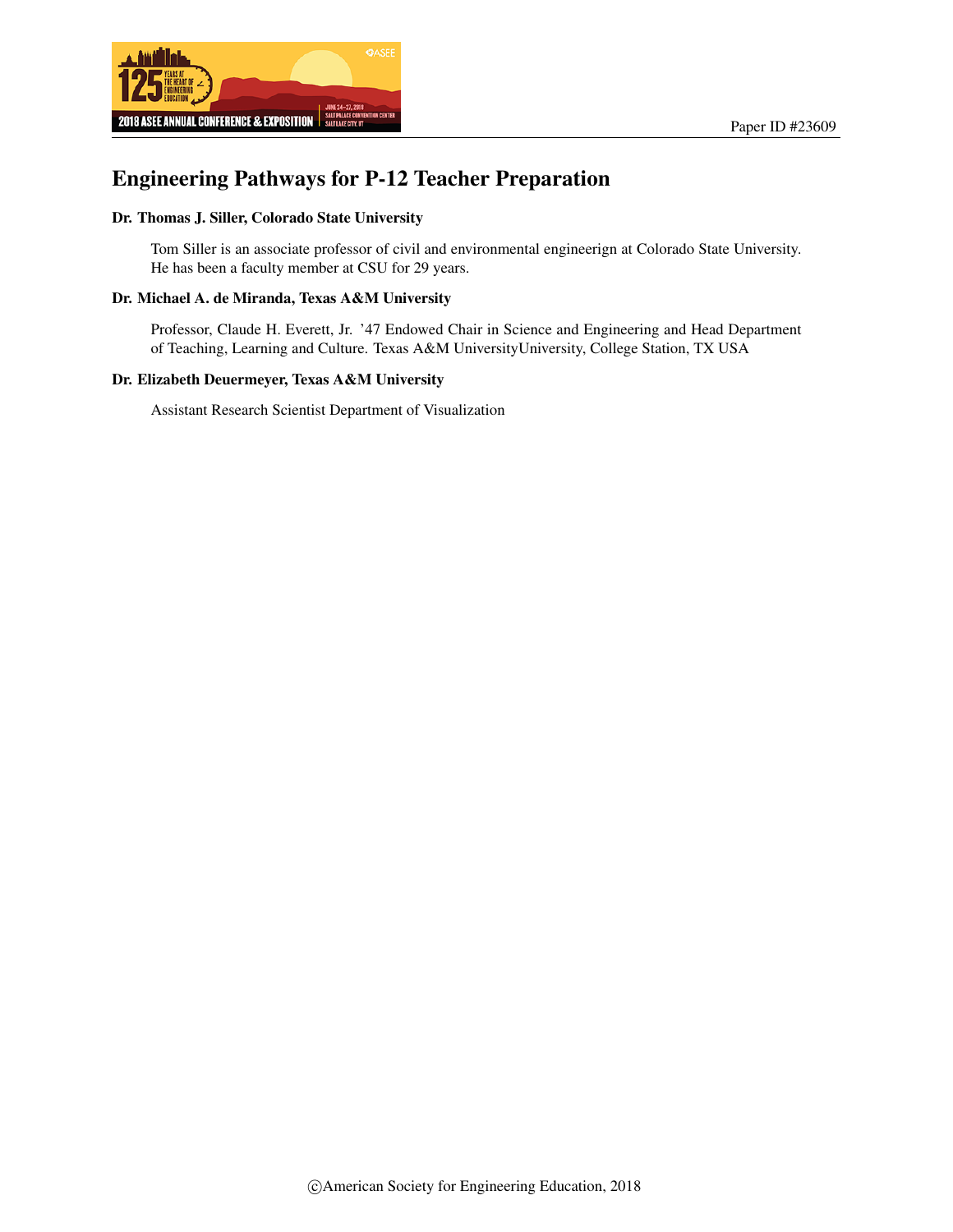



# Engineering Pathways for P-12 Teacher Preparation

### Dr. Thomas J. Siller, Colorado State University

Tom Siller is an associate professor of civil and environmental engineerign at Colorado State University. He has been a faculty member at CSU for 29 years.

#### Dr. Michael A. de Miranda, Texas A&M University

Professor, Claude H. Everett, Jr. '47 Endowed Chair in Science and Engineering and Head Department of Teaching, Learning and Culture. Texas A&M UniversityUniversity, College Station, TX USA

#### Dr. Elizabeth Deuermeyer, Texas A&M University

Assistant Research Scientist Department of Visualization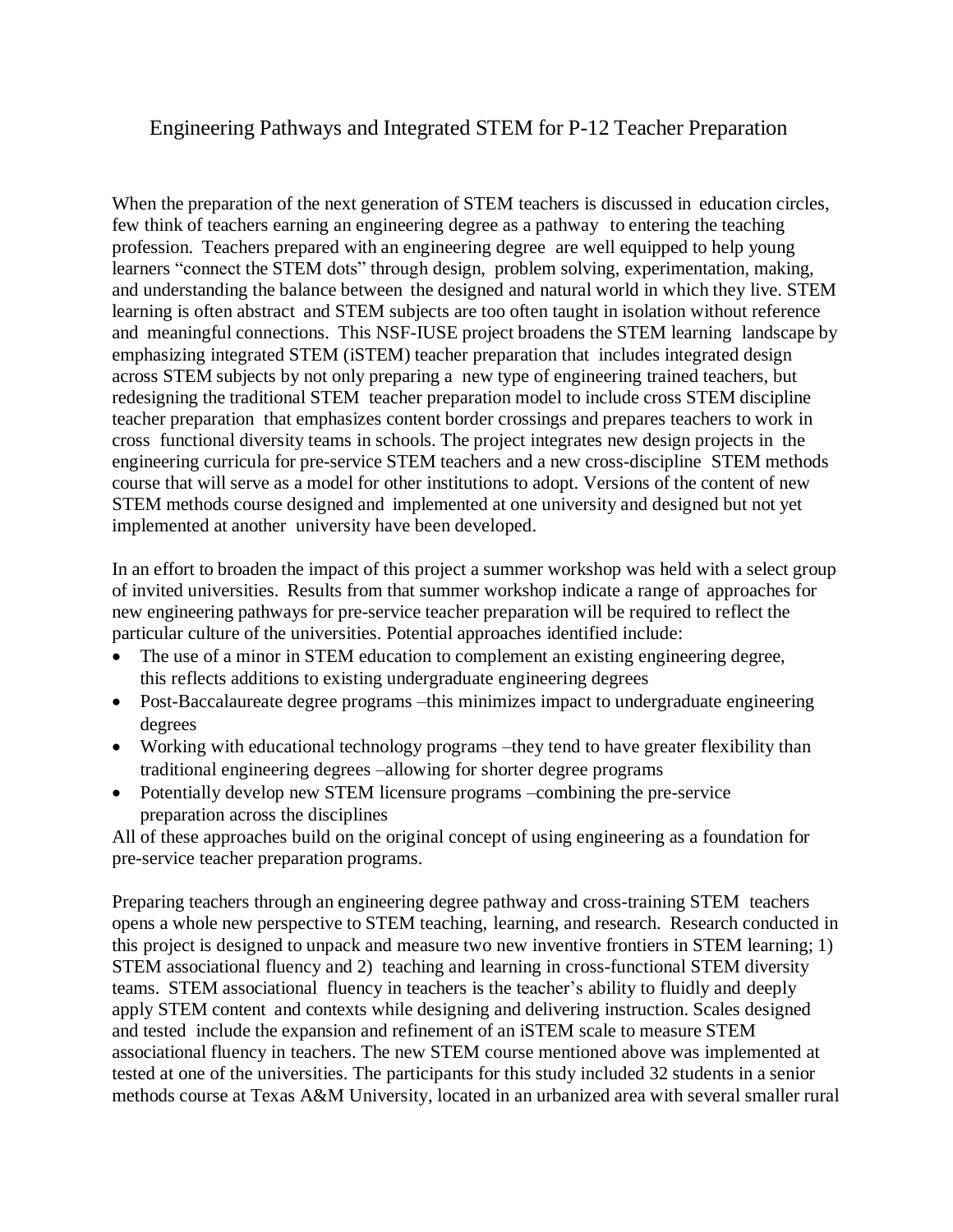## Engineering Pathways and Integrated STEM for P-12 Teacher Preparation

When the preparation of the next generation of STEM teachers is discussed in education circles, few think of teachers earning an engineering degree as a pathway to entering the teaching profession. Teachers prepared with an engineering degree are well equipped to help young learners "connect the STEM dots" through design, problem solving, experimentation, making, and understanding the balance between the designed and natural world in which they live. STEM learning is often abstract and STEM subjects are too often taught in isolation without reference and meaningful connections. This NSF-IUSE project broadens the STEM learning landscape by emphasizing integrated STEM (iSTEM) teacher preparation that includes integrated design across STEM subjects by not only preparing a new type of engineering trained teachers, but redesigning the traditional STEM teacher preparation model to include cross STEM discipline teacher preparation that emphasizes content border crossings and prepares teachers to work in cross functional diversity teams in schools. The project integrates new design projects in the engineering curricula for pre-service STEM teachers and a new cross-discipline STEM methods course that will serve as a model for other institutions to adopt. Versions of the content of new STEM methods course designed and implemented at one university and designed but not yet implemented at another university have been developed.

In an effort to broaden the impact of this project a summer workshop was held with a select group of invited universities. Results from that summer workshop indicate a range of approaches for new engineering pathways for pre-service teacher preparation will be required to reflect the particular culture of the universities. Potential approaches identified include:

- The use of a minor in STEM education to complement an existing engineering degree, this reflects additions to existing undergraduate engineering degrees
- Post-Baccalaureate degree programs –this minimizes impact to undergraduate engineering degrees
- Working with educational technology programs –they tend to have greater flexibility than traditional engineering degrees –allowing for shorter degree programs
- Potentially develop new STEM licensure programs –combining the pre-service preparation across the disciplines

All of these approaches build on the original concept of using engineering as a foundation for pre-service teacher preparation programs.

Preparing teachers through an engineering degree pathway and cross-training STEM teachers opens a whole new perspective to STEM teaching, learning, and research. Research conducted in this project is designed to unpack and measure two new inventive frontiers in STEM learning; 1) STEM associational fluency and 2) teaching and learning in cross-functional STEM diversity teams. STEM associational fluency in teachers is the teacher's ability to fluidly and deeply apply STEM content and contexts while designing and delivering instruction. Scales designed and tested include the expansion and refinement of an iSTEM scale to measure STEM associational fluency in teachers. The new STEM course mentioned above was implemented at tested at one of the universities. The participants for this study included 32 students in a senior methods course at Texas A&M University, located in an urbanized area with several smaller rural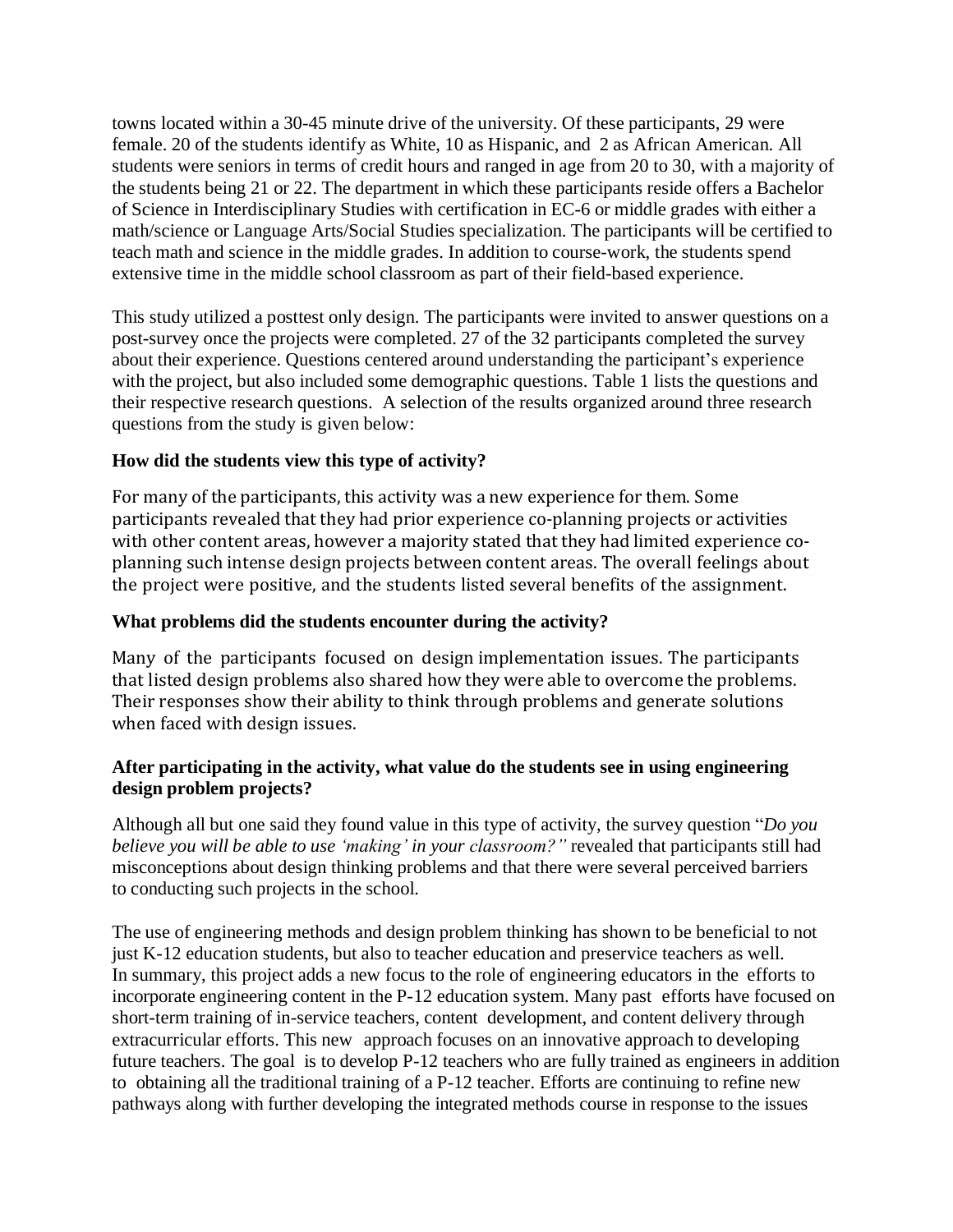towns located within a 30-45 minute drive of the university. Of these participants, 29 were female. 20 of the students identify as White, 10 as Hispanic, and 2 as African American. All students were seniors in terms of credit hours and ranged in age from 20 to 30, with a majority of the students being 21 or 22. The department in which these participants reside offers a Bachelor of Science in Interdisciplinary Studies with certification in EC-6 or middle grades with either a math/science or Language Arts/Social Studies specialization. The participants will be certified to teach math and science in the middle grades. In addition to course-work, the students spend extensive time in the middle school classroom as part of their field-based experience.

This study utilized a posttest only design. The participants were invited to answer questions on a post-survey once the projects were completed. 27 of the 32 participants completed the survey about their experience. Questions centered around understanding the participant's experience with the project, but also included some demographic questions. Table 1 lists the questions and their respective research questions. A selection of the results organized around three research questions from the study is given below:

## **How did the students view this type of activity?**

For many of the participants, this activity was a new experience for them. Some participants revealed that they had prior experience co-planning projects or activities with other content areas, however a majority stated that they had limited experience coplanning such intense design projects between content areas. The overall feelings about the project were positive, and the students listed several benefits of the assignment.

## **What problems did the students encounter during the activity?**

Many of the participants focused on design implementation issues. The participants that listed design problems also shared how they were able to overcome the problems. Their responses show their ability to think through problems and generate solutions when faced with design issues.

## **After participating in the activity, what value do the students see in using engineering design problem projects?**

Although all but one said they found value in this type of activity, the survey question "*Do you believe you will be able to use 'making' in your classroom?"* revealed that participants still had misconceptions about design thinking problems and that there were several perceived barriers to conducting such projects in the school.

The use of engineering methods and design problem thinking has shown to be beneficial to not just K-12 education students, but also to teacher education and preservice teachers as well. In summary, this project adds a new focus to the role of engineering educators in the efforts to incorporate engineering content in the P-12 education system. Many past efforts have focused on short-term training of in-service teachers, content development, and content delivery through extracurricular efforts. This new approach focuses on an innovative approach to developing future teachers. The goal is to develop P-12 teachers who are fully trained as engineers in addition to obtaining all the traditional training of a P-12 teacher. Efforts are continuing to refine new pathways along with further developing the integrated methods course in response to the issues